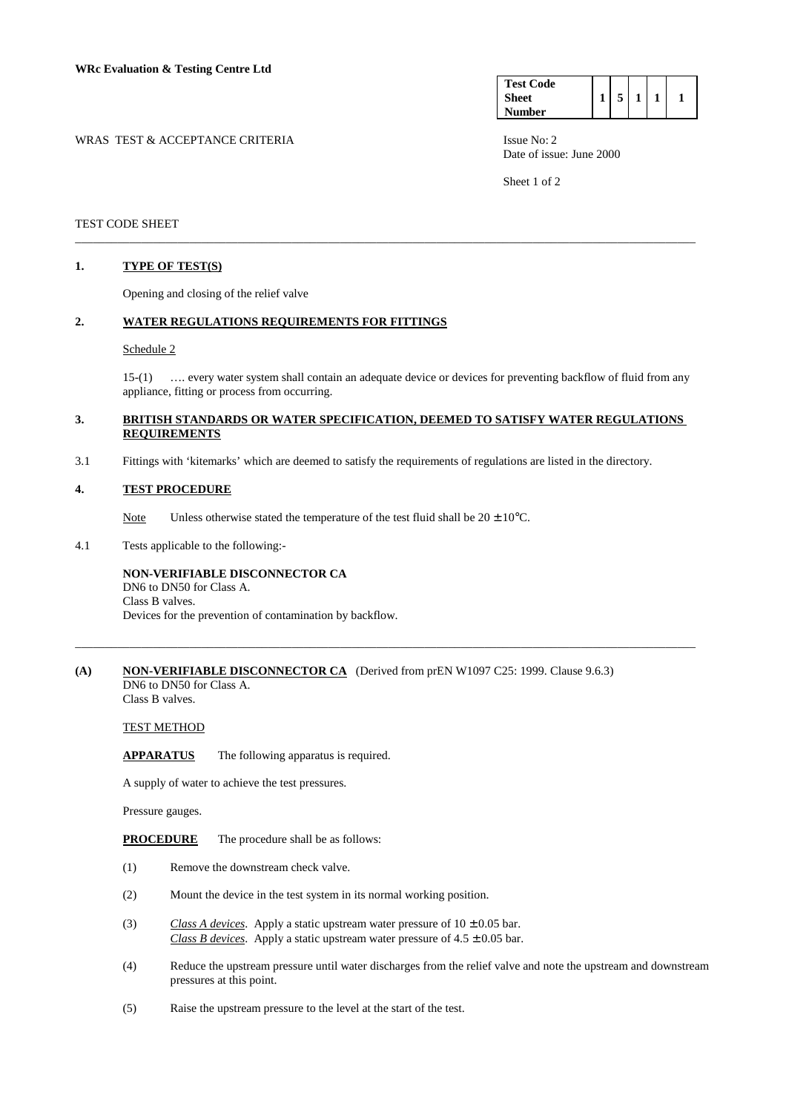WRAS TEST & ACCEPTANCE CRITERIA ISSUE No: 2



Date of issue: June 2000

Sheet 1 of 2

TEST CODE SHEET

#### **1. TYPE OF TEST(S)**

Opening and closing of the relief valve

#### **2. WATER REGULATIONS REQUIREMENTS FOR FITTINGS**

#### Schedule 2

 15-(1) …. every water system shall contain an adequate device or devices for preventing backflow of fluid from any appliance, fitting or process from occurring.

#### **3. BRITISH STANDARDS OR WATER SPECIFICATION, DEEMED TO SATISFY WATER REGULATIONS REQUIREMENTS**

\_\_\_\_\_\_\_\_\_\_\_\_\_\_\_\_\_\_\_\_\_\_\_\_\_\_\_\_\_\_\_\_\_\_\_\_\_\_\_\_\_\_\_\_\_\_\_\_\_\_\_\_\_\_\_\_\_\_\_\_\_\_\_\_\_\_\_\_\_\_\_\_\_\_\_\_\_\_\_\_\_\_\_\_\_\_\_\_\_\_\_\_\_\_\_\_\_\_\_\_\_\_\_

3.1 Fittings with 'kitemarks' which are deemed to satisfy the requirements of regulations are listed in the directory.

#### **4. TEST PROCEDURE**

Note Unless otherwise stated the temperature of the test fluid shall be  $20 \pm 10^{\circ}$ C.

4.1 Tests applicable to the following:-

## **NON-VERIFIABLE DISCONNECTOR CA**

 DN6 to DN50 for Class A. Class B valves. Devices for the prevention of contamination by backflow.

#### **(A)** NON-VERIFIABLE DISCONNECTOR CA (Derived from prEN W1097 C25: 1999. Clause 9.6.3) DN6 to DN50 for Class A.

\_\_\_\_\_\_\_\_\_\_\_\_\_\_\_\_\_\_\_\_\_\_\_\_\_\_\_\_\_\_\_\_\_\_\_\_\_\_\_\_\_\_\_\_\_\_\_\_\_\_\_\_\_\_\_\_\_\_\_\_\_\_\_\_\_\_\_\_\_\_\_\_\_\_\_\_\_\_\_\_\_\_\_\_\_\_\_\_\_\_\_\_\_\_\_\_\_\_\_\_\_\_\_

Class B valves.

### TEST METHOD

**APPARATUS** The following apparatus is required.

A supply of water to achieve the test pressures.

Pressure gauges.

**PROCEDURE** The procedure shall be as follows:

- (1) Remove the downstream check valve.
- (2) Mount the device in the test system in its normal working position.
- (3) *Class A devices*. Apply a static upstream water pressure of  $10 \pm 0.05$  bar. *Class B devices*. Apply a static upstream water pressure of  $4.5 \pm 0.05$  bar.
- (4) Reduce the upstream pressure until water discharges from the relief valve and note the upstream and downstream pressures at this point.
- (5) Raise the upstream pressure to the level at the start of the test.